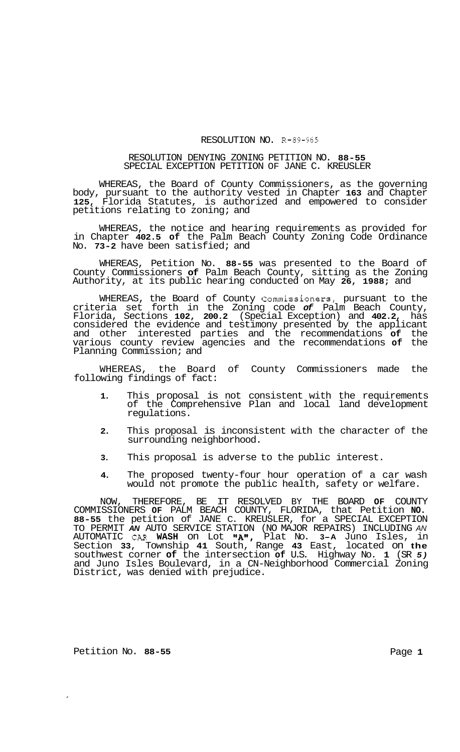## RESOLUTION NO. R-89-965

## RESOLUTION DENYING ZONING PETITION NO. **88-55**  SPECIAL EXCEPTION PETITION OF JANE C. KREUSLER

WHEREAS, the Board of County Commissioners, as the governing body, pursuant to the authority vested in Chapter **163** and Chapter **125,** Florida Statutes, is authorized and empowered to consider petitions relating to zoning; and

WHEREAS, the notice and hearing requirements as provided for in Chapter **402.5 of** the Palm Beach County Zoning Code Ordinance No. **73-2** have been satisfied; and

WHEREAS, Petition No. **88-55** was presented to the Board of County Commissioners **of** Palm Beach County, sitting as the Zoning Authority, at its public hearing conducted on May **26, 1988;** and

WHEREAS, the Board of County Commissioners, pursuant to the criteria set forth in the Zoning code *of* Palm Beach County, Florida, Sections **102, 200.2** (Special Exception) and **402.2,** has considered the evidence and testimony presented by the applicant and other interested parties and the recommendations **of** the various county review agencies and the recommendations **of** the Planning Commission; and

WHEREAS, the Board of County Commissioners made the following findings of fact:

- **1.** This proposal is not consistent with the requirements of the Comprehensive Plan and local land development regulations.
- **2.** This proposal is inconsistent with the character of the surrounding neighborhood.
- **3.** This proposal is adverse to the public interest.
- **4.** The proposed twenty-four hour operation of a car wash would not promote the public health, safety or welfare.

NOW, THEREFORE, BE IT RESOLVED BY THE BOARD **OF** COUNTY COMMISSIONERS **OF** PALM BEACH COUNTY, FLORIDA, that Petition **NO. 88-55** the petition of JANE C. KREUSLER, for a SPECIAL EXCEPTION TO PERMIT *AN* AUTO SERVICE STATION (NO MAJOR REPAIRS) INCLUDING *AN*  AUTOMATIC CAR **WASH** on Lot llA1l, Plat No. **3-A** Juno Isles, in Section **33,** Township **41** South, Range **43** East, located on **the**  southwest corner **of** the intersection **of** U.S. Highway No. **1** (SR *5)*  and Juno Isles Boulevard, in a CN-Neighborhood Commercial Zoning District, was denied with prejudice.

Petition No. 88-55 **Page 1 Page 1**